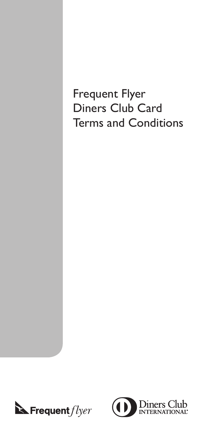# Frequent Flyer Diners Club Card Terms and Conditions



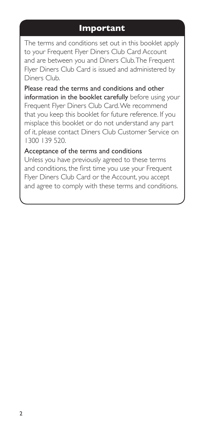### **Important Important**

The terms and conditions set out in this booklet apply to your Frequent Flyer Diners Club Card Account and are between you and Diners Club. The Frequent Flyer Diners Club Card is issued and administered by Diners Club.

Please read the terms and conditions and other information in the booklet carefully before using your Frequent Flyer Diners Club Card. We recommend that you keep this booklet for future reference. If you misplace this booklet or do not understand any part of it, please contact Diners Club Customer Service on 1300 139 520.

#### Acceptance of the terms and conditions

Unless you have previously agreed to these terms and conditions, the first time you use your Frequent Flyer Diners Club Card or the Account, you accept and agree to comply with these terms and conditions.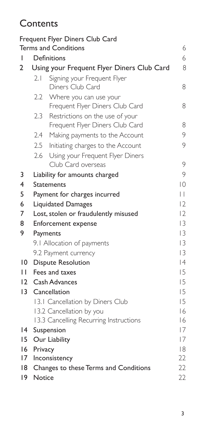## **Contents**

|    |         | Frequent Flyer Diners Club Card                                    |                |
|----|---------|--------------------------------------------------------------------|----------------|
|    |         | <b>Terms and Conditions</b>                                        | 6              |
| ı  |         | Definitions                                                        | 6              |
| 2  |         | Using your Frequent Flyer Diners Club Card                         | 8              |
|    | 2.1     | Signing your Frequent Flyer<br>Diners Club Card                    | 8              |
|    | 2.2     | Where you can use your<br>Frequent Flyer Diners Club Card          | 8              |
|    | 2.3     | Restrictions on the use of your<br>Frequent Flyer Diners Club Card | 8              |
|    | 2.4     | Making payments to the Account                                     | 9              |
|    | 2.5     | Initiating charges to the Account                                  | 9              |
|    | 2.6     | Using your Frequent Flyer Diners<br>Club Card overseas             | 9              |
| 3  |         | Liability for amounts charged                                      | 9              |
| 4  |         | Statements                                                         | $\overline{0}$ |
| 5  |         | Payment for charges incurred                                       | П              |
| 6  |         | <b>Liquidated Damages</b>                                          | 12             |
| 7  |         | Lost, stolen or fraudulently misused                               | 12             |
| 8  |         | <b>Enforcement expense</b>                                         | 3              |
| 9  |         | Payments                                                           | 13             |
|    |         | 9.1 Allocation of payments                                         | 13             |
|    |         | 9.2 Payment currency                                               | 13             |
| 10 |         | <b>Dispute Resolution</b>                                          | 4              |
| п  |         | Fees and taxes                                                     | 15             |
| 12 |         | <b>Cash Advances</b>                                               | 15             |
| 3  |         | Cancellation                                                       | 15             |
|    |         | 13.1 Cancellation by Diners Club                                   | 15             |
|    |         | 13.2 Cancellation by you                                           | 16             |
|    |         | 13.3 Cancelling Recurring Instructions                             | 16             |
| 14 |         | Suspension                                                         | 17             |
| 15 |         | Our Liability                                                      | 17             |
| 16 | Privacy |                                                                    | 18             |
| 17 |         | Inconsistency                                                      | 22             |
| 18 |         | Changes to these Terms and Conditions                              | 22             |
| 9  | Notice  |                                                                    | 22             |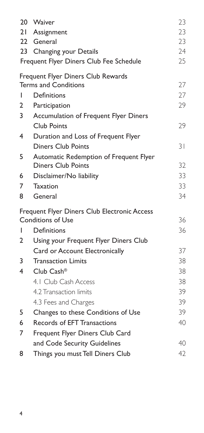| 20 | Waiver                                       | 23 |
|----|----------------------------------------------|----|
| 21 | Assignment                                   | 23 |
|    | 22 General                                   | 23 |
|    | 23 Changing your Details                     | 24 |
|    | Frequent Flyer Diners Club Fee Schedule      | 25 |
|    | Frequent Flyer Diners Club Rewards           |    |
|    | <b>Terms and Conditions</b>                  | 27 |
| L  | Definitions                                  | 27 |
| 2  | Participation                                | 29 |
| 3  | Accumulation of Frequent Flyer Diners        |    |
|    | Club Points                                  | 29 |
| 4  | Duration and Loss of Frequent Flyer          |    |
|    | <b>Diners Club Points</b>                    | 31 |
| 5  | Automatic Redemption of Frequent Flyer       |    |
|    | <b>Diners Club Points</b>                    | 32 |
| 6  | Disclaimer/No liability                      | 33 |
| 7  | Taxation                                     | 33 |
| 8  | General                                      | 34 |
|    | Frequent Flyer Diners Club Electronic Access |    |
|    | <b>Conditions of Use</b>                     | 36 |
| ı  | <b>Definitions</b>                           | 36 |
| 2  | Using your Frequent Flyer Diners Club        |    |
|    | Card or Account Electronically               | 37 |
| 3  | <b>Transaction Limits</b>                    | 38 |
| 4  | Club Cash®                                   | 38 |
|    | 4.1 Club Cash Access                         | 38 |
|    | 4.2 Transaction limits                       | 39 |
|    | 4.3 Fees and Charges                         | 39 |
| 5  | Changes to these Conditions of Use           | 39 |
| 6  | Records of EFT Transactions                  | 40 |
| 7  | Frequent Flyer Diners Club Card              |    |
|    | and Code Security Guidelines                 | 40 |
| 8  | Things you must Tell Diners Club             | 42 |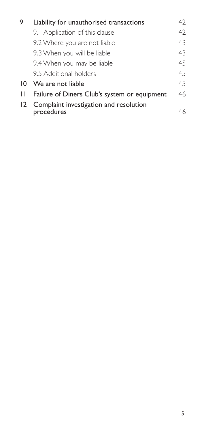| 9       | Liability for unauthorised transactions      |    |
|---------|----------------------------------------------|----|
|         | 9.1 Application of this clause               | 42 |
|         | 9.2 Where you are not liable                 | 43 |
|         | 9.3 When you will be liable                  | 43 |
|         | 9.4 When you may be liable                   | 45 |
|         | 9.5 Additional holders                       | 45 |
|         | 10 We are not liable                         | 45 |
| $\perp$ | Failure of Diners Club's system or equipment | 46 |
| $12 \,$ | Complaint investigation and resolution       |    |
|         | procedures                                   | 46 |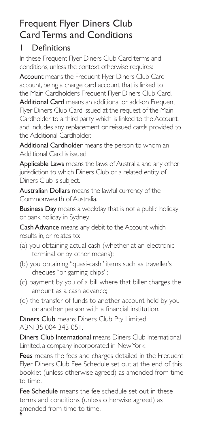## Frequent Flyer Diners Club Card Terms and Conditions

### **Definitions**

In these Frequent Flyer Diners Club Card terms and conditions, unless the context otherwise requires:

Account means the Frequent Flyer Diners Club Card account, being a charge card account, that is linked to the Main Cardholder's Frequent Flyer Diners Club Card. Additional Card means an additional or add-on Frequent Flyer Diners Club Card issued at the request of the Main Cardholder to a third party which is linked to the Account, and includes any replacement or reissued cards provided to the Additional Cardholder.

Additional Cardholder means the person to whom an Additional Card is issued.

Applicable Laws means the laws of Australia and any other jurisdiction to which Diners Club or a related entity of Diners Club is subject.

Australian Dollars means the lawful currency of the Commonwealth of Australia.

**Business Day** means a weekday that is not a public holiday or bank holiday in Sydney.

Cash Advance means any debit to the Account which results in, or relates to:

- (a) you obtaining actual cash (whether at an electronic terminal or by other means);
- (b) you obtaining "quasi-cash" items such as traveller's cheques "or gaming chips";
- (c) payment by you of a bill where that biller charges the amount as a cash advance;
- (d) the transfer of funds to another account held by you or another person with a financial institution.

Diners Club means Diners Club Pty Limited ABN 35 004 343 051.

Diners Club International means Diners Club International Limited, a company incorporated in New York.

Fees means the fees and charges detailed in the Frequent Flyer Diners Club Fee Schedule set out at the end of this booklet (unless otherwise agreed) as amended from time to time.

6 amended from time to time.Fee Schedule means the fee schedule set out in these terms and conditions (unless otherwise agreed) as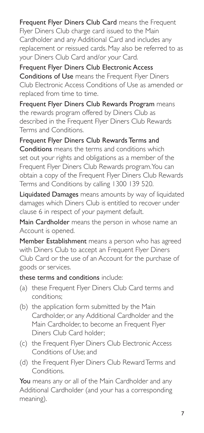Frequent Flyer Diners Club Card means the Frequent Flyer Diners Club charge card issued to the Main Cardholder and any Additional Card and includes any replacement or reissued cards. May also be referred to as your Diners Club Card and/or your Card.

Frequent Flyer Diners Club Electronic Access Conditions of Use means the Frequent Flyer Diners Club Electronic Access Conditions of Use as amended or replaced from time to time.

Frequent Flyer Diners Club Rewards Program means the rewards program offered by Diners Club as described in the Frequent Flyer Diners Club Rewards Terms and Conditions.

Frequent Flyer Diners Club Rewards Terms and Conditions means the terms and conditions which set out your rights and obligations as a member of the Frequent Flyer Diners Club Rewards program. You can obtain a copy of the Frequent Flyer Diners Club Rewards Terms and Conditions by calling 1300 139 520.

Liquidated Damages means amounts by way of liquidated damages which Diners Club is entitled to recover under clause 6 in respect of your payment default.

Main Cardholder means the person in whose name an Account is opened.

Member Establishment means a person who has agreed with Diners Club to accept an Frequent Flyer Diners Club Card or the use of an Account for the purchase of goods or services.

these terms and conditions include:

- (a) these Frequent Flyer Diners Club Card terms and conditions;
- (b) the application form submitted by the Main Cardholder, or any Additional Cardholder and the Main Cardholder, to become an Frequent Flyer Diners Club Card holder;
- (c) the Frequent Flyer Diners Club Electronic Access Conditions of Use; and
- (d) the Frequent Flyer Diners Club Reward Terms and Conditions.

You means any or all of the Main Cardholder and any Additional Cardholder (and your has a corresponding meaning).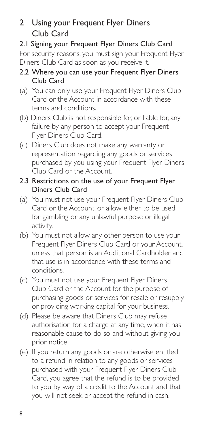### 2 Using your Frequent Flyer Diners Club Card

#### 2.1 Signing your Frequent Flyer Diners Club Card

For security reasons, you must sign your Frequent Flyer Diners Club Card as soon as you receive it.

#### 2.2 Where you can use your Frequent Flyer Diners Club Card

- (a) You can only use your Frequent Flyer Diners Club Card or the Account in accordance with these terms and conditions.
- (b) Diners Club is not responsible for, or liable for, any failure by any person to accept your Frequent Flyer Diners Club Card.
- (c) Diners Club does not make any warranty or representation regarding any goods or services purchased by you using your Frequent Flyer Diners Club Card or the Account.

#### 2.3 Restrictions on the use of your Frequent Flyer Diners Club Card

- (a) You must not use your Frequent Flyer Diners Club Card or the Account, or allow either to be used, for gambling or any unlawful purpose or illegal activity.
- (b) You must not allow any other person to use your Frequent Flyer Diners Club Card or your Account, unless that person is an Additional Cardholder and that use is in accordance with these terms and conditions.
- (c) You must not use your Frequent Flyer Diners Club Card or the Account for the purpose of purchasing goods or services for resale or resupply or providing working capital for your business.
- (d) Please be aware that Diners Club may refuse authorisation for a charge at any time, when it has reasonable cause to do so and without giving you prior notice.
- (e) If you return any goods or are otherwise entitled to a refund in relation to any goods or services purchased with your Frequent Flyer Diners Club Card, you agree that the refund is to be provided to you by way of a credit to the Account and that you will not seek or accept the refund in cash.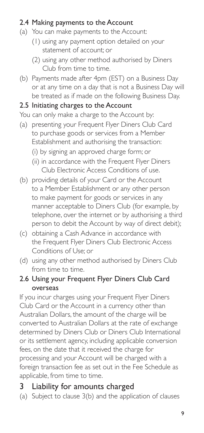#### 2.4 Making payments to the Account

- (a) You can make payments to the Account:
	- (1) using any payment option detailed on your statement of account; or
	- (2) using any other method authorised by Diners Club from time to time.
- (b) Payments made after 4pm (EST) on a Business Day or at any time on a day that is not a Business Day will be treated as if made on the following Business Day.

#### 2.5 Initiating charges to the Account

You can only make a charge to the Account by:

- (a) presenting your Frequent Flyer Diners Club Card to purchase goods or services from a Member Establishment and authorising the transaction:
	- (i) by signing an approved charge form; or
	- (ii) in accordance with the Frequent Flyer Diners Club Electronic Access Conditions of use.
- (b) providing details of your Card or the Account to a Member Establishment or any other person to make payment for goods or services in any manner acceptable to Diners Club (for example, by telephone, over the internet or by authorising a third person to debit the Account by way of direct debit);
- (c) obtaining a Cash Advance in accordance with the Frequent Flyer Diners Club Electronic Access Conditions of Use; or
- (d) using any other method authorised by Diners Club from time to time.

#### 2.6 Using your Frequent Flyer Diners Club Card overseas

If you incur charges using your Frequent Flyer Diners Club Card or the Account in a currency other than Australian Dollars, the amount of the charge will be converted to Australian Dollars at the rate of exchange determined by Diners Club or Diners Club International or its settlement agency, including applicable conversion fees, on the date that it received the charge for processing and your Account will be charged with a foreign transaction fee as set out in the Fee Schedule as applicable, from time to time.

### 3 Liability for amounts charged

(a) Subject to clause 3(b) and the application of clauses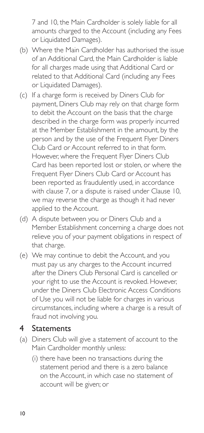7 and 10, the Main Cardholder is solely liable for all amounts charged to the Account (including any Fees or Liquidated Damages).

- (b) Where the Main Cardholder has authorised the issue of an Additional Card, the Main Cardholder is liable for all charges made using that Additional Card or related to that Additional Card (including any Fees or Liquidated Damages).
- (c) If a charge form is received by Diners Club for payment, Diners Club may rely on that charge form to debit the Account on the basis that the charge described in the charge form was properly incurred at the Member Establishment in the amount, by the person and by the use of the Frequent Flyer Diners Club Card or Account referred to in that form. However, where the Frequent Flyer Diners Club Card has been reported lost or stolen, or where the Frequent Flyer Diners Club Card or Account has been reported as fraudulently used, in accordance with clause 7, or a dispute is raised under Clause 10, we may reverse the charge as though it had never applied to the Account.
- (d) A dispute between you or Diners Club and a Member Establishment concerning a charge does not relieve you of your payment obligations in respect of that charge.
- (e) We may continue to debit the Account, and you must pay us any charges to the Account incurred after the Diners Club Personal Card is cancelled or your right to use the Account is revoked. However, under the Diners Club Electronic Access Conditions of Use you will not be liable for charges in various circumstances, including where a charge is a result of fraud not involving you.

### 4 Statements

- (a) Diners Club will give a statement of account to the Main Cardholder monthly unless:
	- (i) there have been no transactions during the statement period and there is a zero balance on the Account, in which case no statement of account will be given; or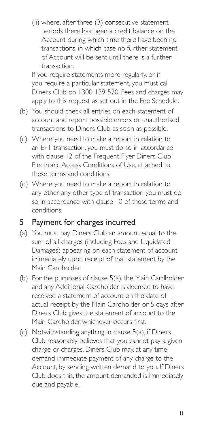(ii) where, after three (3) consecutive statement periods there has been a credit balance on the Account during which time there have been no transactions, in which case no further statement of Account will be sent until there is a further transaction.

If you require statements more regularly, or if you require a particular statement, you must call Diners Club on 1300 139 520. Fees and charges may apply to this request as set out in the Fee Schedule.

- (b) You should check all entries on each statement of account and report possible errors or unauthorised transactions to Diners Club as soon as possible.
- (c) Where you need to make a report in relation to an EFT transaction, you must do so in accordance with clause 12 of the Frequent Flyer Diners Club Electronic Access Conditions of Use, attached to these terms and conditions.
- (d) Where you need to make a report in relation to any other any other type of transaction you must do so in accordance with clause 10 of these terms and conditions.

### 5 Payment for charges incurred

- (a) You must pay Diners Club an amount equal to the sum of all charges (including Fees and Liquidated Damages) appearing on each statement of account immediately upon receipt of that statement by the Main Cardholder.
- (b) For the purposes of clause 5(a), the Main Cardholder and any Additional Cardholder is deemed to have received a statement of account on the date of actual receipt by the Main Cardholder or 5 days after Diners Club gives the statement of account to the Main Cardholder, whichever occurs first.
- (c) Notwithstanding anything in clause 5(a), if Diners Club reasonably believes that you cannot pay a given charge or charges, Diners Club may, at any time, demand immediate payment of any charge to the Account, by sending written demand to you. If Diners Club does this, the amount demanded is immediately due and payable.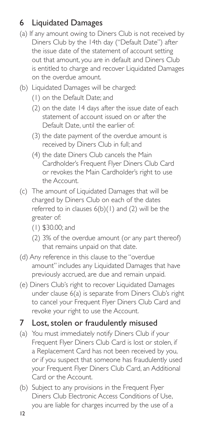### 6 Liquidated Damages

- (a) If any amount owing to Diners Club is not received by Diners Club by the 14th day ("Default Date") after the issue date of the statement of account setting out that amount, you are in default and Diners Club is entitled to charge and recover Liquidated Damages on the overdue amount.
- (b) Liquidated Damages will be charged:
	- (1) on the Default Date; and
	- (2) on the date 14 days after the issue date of each statement of account issued on or after the Default Date, until the earlier of:
	- (3) the date payment of the overdue amount is received by Diners Club in full; and
	- (4) the date Diners Club cancels the Main Cardholder's Frequent Flyer Diners Club Card or revokes the Main Cardholder's right to use the Account.
- (c) The amount of Liquidated Damages that will be charged by Diners Club on each of the dates referred to in clauses 6(b)(1) and (2) will be the greater of:
	- (1) \$30.00; and
	- (2) 3% of the overdue amount (or any part thereof) that remains unpaid on that date.
- (d) Any reference in this clause to the "overdue amount" includes any Liquidated Damages that have previously accrued, are due and remain unpaid.
- (e) Diners Club's right to recover Liquidated Damages under clause 6(a) is separate from Diners Club's right to cancel your Frequent Flyer Diners Club Card and revoke your right to use the Account.

### 7 Lost, stolen or fraudulently misused

- (a) You must immediately notify Diners Club if your Frequent Flyer Diners Club Card is lost or stolen, if a Replacement Card has not been received by you, or if you suspect that someone has fraudulently used your Frequent Flyer Diners Club Card, an Additional Card or the Account.
- (b) Subject to any provisions in the Frequent Flyer Diners Club Electronic Access Conditions of Use, you are liable for charges incurred by the use of a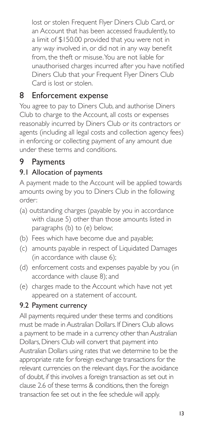lost or stolen Frequent Flyer Diners Club Card, or an Account that has been accessed fraudulently, to a limit of \$150.00 provided that you were not in any way involved in, or did not in any way benefit from, the theft or misuse. You are not liable for unauthorised charges incurred after you have notified Diners Club that your Frequent Flyer Diners Club Card is lost or stolen.

### 8 Enforcement expense

You agree to pay to Diners Club, and authorise Diners Club to charge to the Account, all costs or expenses reasonably incurred by Diners Club or its contractors or agents (including all legal costs and collection agency fees) in enforcing or collecting payment of any amount due under these terms and conditions.

### 9 Payments

### 9.1 Allocation of payments

A payment made to the Account will be applied towards amounts owing by you to Diners Club in the following order:

- (a) outstanding charges (payable by you in accordance with clause 5) other than those amounts listed in paragraphs (b) to (e) below;
- (b) Fees which have become due and payable;
- (c) amounts payable in respect of Liquidated Damages (in accordance with clause 6);
- (d) enforcement costs and expenses payable by you (in accordance with clause 8); and
- (e) charges made to the Account which have not yet appeared on a statement of account.

#### 9.2 Payment currency

All payments required under these terms and conditions must be made in Australian Dollars. If Diners Club allows a payment to be made in a currency other than Australian Dollars, Diners Club will convert that payment into Australian Dollars using rates that we determine to be the appropriate rate for foreign exchange transactions for the relevant currencies on the relevant days. For the avoidance of doubt, if this involves a foreign transaction as set out in clause 2.6 of these terms & conditions, then the foreign transaction fee set out in the fee schedule will apply.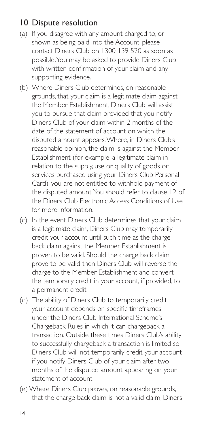### 10 Dispute resolution

- (a) If you disagree with any amount charged to, or shown as being paid into the Account, please contact Diners Club on 1300 139 520 as soon as possible. You may be asked to provide Diners Club with written confirmation of your claim and any supporting evidence.
- (b) Where Diners Club determines, on reasonable grounds, that your claim is a legitimate claim against the Member Establishment, Diners Club will assist you to pursue that claim provided that you notify Diners Club of your claim within 2 months of the date of the statement of account on which the disputed amount appears. Where, in Diners Club's reasonable opinion, the claim is against the Member Establishment (for example, a legitimate claim in relation to the supply, use or quality of goods or services purchased using your Diners Club Personal Card), you are not entitled to withhold payment of the disputed amount. You should refer to clause 12 of the Diners Club Electronic Access Conditions of Use for more information.
- (c) In the event Diners Club determines that your claim is a legitimate claim, Diners Club may temporarily credit your account until such time as the charge back claim against the Member Establishment is proven to be valid. Should the charge back claim prove to be valid then Diners Club will reverse the charge to the Member Establishment and convert the temporary credit in your account, if provided, to a permanent credit.
- (d) The ability of Diners Club to temporarily credit your account depends on specific timeframes under the Diners Club International Scheme's Chargeback Rules in which it can chargeback a transaction. Outside these times Diners Club's ability to successfully chargeback a transaction is limited so Diners Club will not temporarily credit your account if you notify Diners Club of your claim after two months of the disputed amount appearing on your statement of account.
- (e) Where Diners Club proves, on reasonable grounds, that the charge back claim is not a valid claim, Diners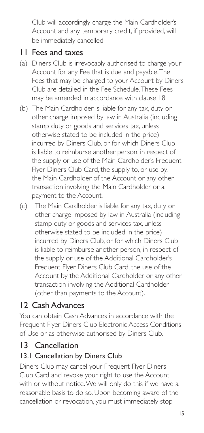Club will accordingly charge the Main Cardholder's Account and any temporary credit, if provided, will be immediately cancelled.

### 11 Fees and taxes

- (a) Diners Club is irrevocably authorised to charge your Account for any Fee that is due and payable. The Fees that may be charged to your Account by Diners Club are detailed in the Fee Schedule. These Fees may be amended in accordance with clause 18.
- (b) The Main Cardholder is liable for any tax, duty or other charge imposed by law in Australia (including stamp duty or goods and services tax, unless otherwise stated to be included in the price) incurred by Diners Club, or for which Diners Club is liable to reimburse another person, in respect of the supply or use of the Main Cardholder's Frequent Flyer Diners Club Card, the supply to, or use by, the Main Cardholder of the Account or any other transaction involving the Main Cardholder or a payment to the Account.
- (c) The Main Cardholder is liable for any tax, duty or other charge imposed by law in Australia (including stamp duty or goods and services tax, unless otherwise stated to be included in the price) incurred by Diners Club, or for which Diners Club is liable to reimburse another person, in respect of the supply or use of the Additional Cardholder's Frequent Flyer Diners Club Card, the use of the Account by the Additional Cardholder or any other transaction involving the Additional Cardholder (other than payments to the Account).

### 12 Cash Advances

You can obtain Cash Advances in accordance with the Frequent Flyer Diners Club Electronic Access Conditions of Use or as otherwise authorised by Diners Club.

### 13 Cancellation

### 13.1 Cancellation by Diners Club

Diners Club may cancel your Frequent Flyer Diners Club Card and revoke your right to use the Account with or without notice. We will only do this if we have a reasonable basis to do so. Upon becoming aware of the cancellation or revocation, you must immediately stop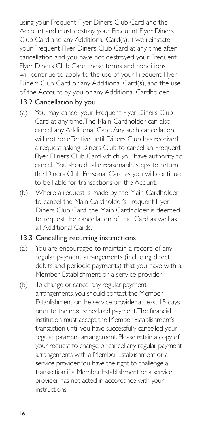using your Frequent Flyer Diners Club Card and the Account and must destroy your Frequent Flyer Diners Club Card and any Additional Card(s). If we reinstate your Frequent Flyer Diners Club Card at any time after cancellation and you have not destroyed your Frequent Flyer Diners Club Card, these terms and conditions will continue to apply to the use of your Frequent Flyer Diners Club Card or any Additional Card(s), and the use of the Account by you or any Additional Cardholder.

### 13.2 Cancellation by you

- (a) You may cancel your Frequent Flyer Diners Club Card at any time. The Main Cardholder can also cancel any Additional Card. Any such cancellation will not be effective until Diners Club has received a request asking Diners Club to cancel an Frequent Flyer Diners Club Card which you have authority to cancel. You should take reasonable steps to return the Diners Club Personal Card as you will continue to be liable for transactions on the Acount.
- (b) Where a request is made by the Main Cardholder to cancel the Main Cardholder's Frequent Flyer Diners Club Card, the Main Cardholder is deemed to request the cancellation of that Card as well as all Additional Cards.

#### 13.3 Cancelling recurring instructions

- (a) You are encouraged to maintain a record of any regular payment arrangements (including direct debits and periodic payments) that you have with a Member Establishment or a service provider.
- (b) To change or cancel any regular payment arrangements, you should contact the Member Establishment or the service provider at least 15 days prior to the next scheduled payment. The financial institution must accept the Member Establishment's transaction until you have successfully cancelled your regular payment arrangement. Please retain a copy of your request to change or cancel any regular payment arrangements with a Member Establishment or a service provider. You have the right to challenge a transaction if a Member Establishment or a service provider has not acted in accordance with your instructions.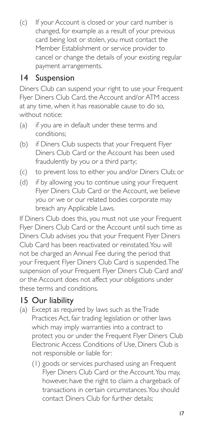(c) If your Account is closed or your card number is changed, for example as a result of your previous card being lost or stolen, you must contact the Member Establishment or service provider to cancel or change the details of your existing regular payment arrangements.

### 14 Suspension

Diners Club can suspend your right to use your Frequent Flyer Diners Club Card, the Account and/or ATM access at any time, when it has reasonable cause to do so, without notice:

- (a) if you are in default under these terms and conditions;
- (b) if Diners Club suspects that your Frequent Flyer Diners Club Card or the Account has been used fraudulently by you or a third party;
- (c) to prevent loss to either you and/or Diners Club; or
- (d) if by allowing you to continue using your Frequent Flyer Diners Club Card or the Account, we believe you or we or our related bodies corporate may breach any Applicable Laws.

If Diners Club does this, you must not use your Frequent Flyer Diners Club Card or the Account until such time as Diners Club advises you that your Frequent Flyer Diners Club Card has been reactivated or reinstated. You will not be charged an Annual Fee during the period that your Frequent Flyer Diners Club Card is suspended. The suspension of your Frequent Flyer Diners Club Card and/ or the Account does not affect your obligations under these terms and conditions.

## 15 Our liability

- (a) Except as required by laws such as the Trade Practices Act, fair trading legislation or other laws which may imply warranties into a contract to protect you or under the Frequent Flyer Diners Club Electronic Access Conditions of Use, Diners Club is not responsible or liable for:
	- (1) goods or services purchased using an Frequent Flyer Diners Club Card or the Account. You may, however, have the right to claim a chargeback of transactions in certain circumstances. You should contact Diners Club for further details;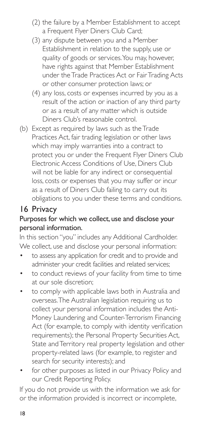- (2) the failure by a Member Establishment to accept a Frequent Flyer Diners Club Card;
- (3) any dispute between you and a Member Establishment in relation to the supply, use or quality of goods or services. You may, however, have rights against that Member Establishment under the Trade Practices Act or Fair Trading Acts or other consumer protection laws; or
- (4) any loss, costs or expenses incurred by you as a result of the action or inaction of any third party or as a result of any matter which is outside Diners Club's reasonable control.
- (b) Except as required by laws such as the Trade Practices Act, fair trading legislation or other laws which may imply warranties into a contract to protect you or under the Frequent Flyer Diners Club Electronic Access Conditions of Use, Diners Club will not be liable for any indirect or consequential loss, costs or expenses that you may suffer or incur as a result of Diners Club failing to carry out its obligations to you under these terms and conditions.

## 16 Privacy

#### Purposes for which we collect, use and disclose your personal information.

In this section "you" includes any Additional Cardholder. We collect, use and disclose your personal information:

- to assess any application for credit and to provide and administer your credit facilities and related services;
- to conduct reviews of your facility from time to time at our sole discretion;
- to comply with applicable laws both in Australia and overseas. The Australian legislation requiring us to collect your personal information includes the Anti-Money Laundering and Counter-Terrorism Financing Act (for example, to comply with identity verification requirements); the Personal Property Securities Act, State and Territory real property legislation and other property-related laws (for example, to register and search for security interests); and
- for other purposes as listed in our Privacy Policy and our Credit Reporting Policy.

If you do not provide us with the information we ask for or the information provided is incorrect or incomplete,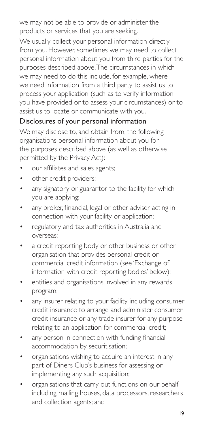we may not be able to provide or administer the products or services that you are seeking.

We usually collect your personal information directly from you. However, sometimes we may need to collect personal information about you from third parties for the purposes described above. The circumstances in which we may need to do this include, for example, where we need information from a third party to assist us to process your application (such as to verify information you have provided or to assess your circumstances) or to assist us to locate or communicate with you.

#### Disclosures of your personal information

We may disclose to, and obtain from, the following organisations personal information about you for the purposes described above (as well as otherwise permitted by the Privacy Act):

- our affiliates and sales agents;
- other credit providers:
- any signatory or guarantor to the facility for which you are applying;
- any broker, financial, legal or other adviser acting in connection with your facility or application;
- regulatory and tax authorities in Australia and overseas;
- a credit reporting body or other business or other organisation that provides personal credit or commercial credit information (see 'Exchange of information with credit reporting bodies' below);
- entities and organisations involved in any rewards program;
- any insurer relating to your facility including consumer credit insurance to arrange and administer consumer credit insurance or any trade insurer for any purpose relating to an application for commercial credit;
- any person in connection with funding financial accommodation by securitisation;
- organisations wishing to acquire an interest in any part of Diners Club's business for assessing or implementing any such acquisition;
- organisations that carry out functions on our behalf including mailing houses, data processors, researchers and collection agents; and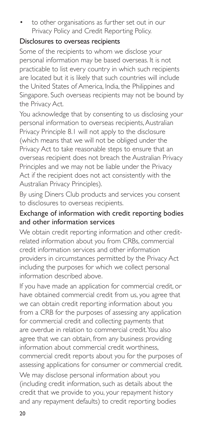to other organisations as further set out in our Privacy Policy and Credit Reporting Policy.

#### Disclosures to overseas recipients

Some of the recipients to whom we disclose your personal information may be based overseas. It is not practicable to list every country in which such recipients are located but it is likely that such countries will include the United States of America, India, the Philippines and Singapore. Such overseas recipients may not be bound by the Privacy Act.

You acknowledge that by consenting to us disclosing your personal information to overseas recipients, Australian Privacy Principle 8.1 will not apply to the disclosure (which means that we will not be obliged under the Privacy Act to take reasonable steps to ensure that an overseas recipient does not breach the Australian Privacy Principles and we may not be liable under the Privacy Act if the recipient does not act consistently with the Australian Privacy Principles).

By using Diners Club products and services you consent to disclosures to overseas recipients.

#### Exchange of information with credit reporting bodies and other information services

We obtain credit reporting information and other creditrelated information about you from CRBs, commercial credit information services and other information providers in circumstances permitted by the Privacy Act including the purposes for which we collect personal information described above.

If you have made an application for commercial credit, or have obtained commercial credit from us, you agree that we can obtain credit reporting information about you from a CRB for the purposes of assessing any application for commercial credit and collecting payments that are overdue in relation to commercial credit. You also agree that we can obtain, from any business providing information about commercial credit worthiness, commercial credit reports about you for the purposes of assessing applications for consumer or commercial credit.

We may disclose personal information about you (including credit information, such as details about the credit that we provide to you, your repayment history and any repayment defaults) to credit reporting bodies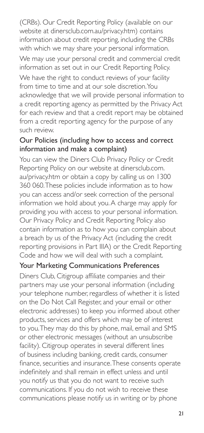(CRBs). Our Credit Reporting Policy (available on our website at dinersclub.com.au/privacy.htm) contains information about credit reporting, including the CRBs with which we may share your personal information.

We may use your personal credit and commercial credit information as set out in our Credit Reporting Policy.

We have the right to conduct reviews of your facility from time to time and at our sole discretion. You acknowledge that we will provide personal information to a credit reporting agency as permitted by the Privacy Act for each review and that a credit report may be obtained from a credit reporting agency for the purpose of any such review.

#### Our Policies (including how to access and correct information and make a complaint)

You can view the Diners Club Privacy Policy or Credit Reporting Policy on our website at dinersclub.com. au/privacy.htm or obtain a copy by calling us on 1300 360 060. These policies include information as to how you can access and/or seek correction of the personal information we hold about you. A charge may apply for providing you with access to your personal information. Our Privacy Policy and Credit Reporting Policy also contain information as to how you can complain about a breach by us of the Privacy Act (including the credit reporting provisions in Part IIIA) or the Credit Reporting Code and how we will deal with such a complaint.

#### Your Marketing Communications Preferences

Diners Club, Citigroup affiliate companies and their partners may use your personal information (including your telephone number, regardless of whether it is listed on the Do Not Call Register, and your email or other electronic addresses) to keep you informed about other products, services and offers which may be of interest to you. They may do this by phone, mail, email and SMS or other electronic messages (without an unsubscribe facility). Citigroup operates in several different lines of business including banking, credit cards, consumer finance, securities and insurance. These consents operate indefinitely and shall remain in effect unless and until you notify us that you do not want to receive such communications. If you do not wish to receive these communications please notify us in writing or by phone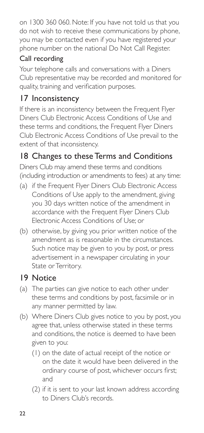on 1300 360 060. Note: If you have not told us that you do not wish to receive these communications by phone, you may be contacted even if you have registered your phone number on the national Do Not Call Register.

### Call recording

Your telephone calls and conversations with a Diners Club representative may be recorded and monitored for quality, training and verification purposes.

### 17 Inconsistency

If there is an inconsistency between the Frequent Flyer Diners Club Electronic Access Conditions of Use and these terms and conditions, the Frequent Flyer Diners Club Electronic Access Conditions of Use prevail to the extent of that inconsistency.

### 18 Changes to these Terms and Conditions

Diners Club may amend these terms and conditions (including introduction or amendments to fees) at any time:

- (a) if the Frequent Flyer Diners Club Electronic Access Conditions of Use apply to the amendment, giving you 30 days written notice of the amendment in accordance with the Frequent Flyer Diners Club Electronic Access Conditions of Use; or
- (b) otherwise, by giving you prior written notice of the amendment as is reasonable in the circumstances. Such notice may be given to you by post, or press advertisement in a newspaper circulating in your State or Territory.

### 19 Notice

- (a) The parties can give notice to each other under these terms and conditions by post, facsimile or in any manner permitted by law.
- (b) Where Diners Club gives notice to you by post, you agree that, unless otherwise stated in these terms and conditions, the notice is deemed to have been given to you:
	- (1) on the date of actual receipt of the notice or on the date it would have been delivered in the ordinary course of post, whichever occurs first; and
	- (2) if it is sent to your last known address according to Diners Club's records.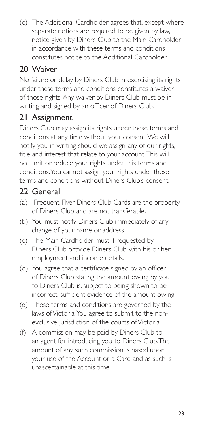(c) The Additional Cardholder agrees that, except where separate notices are required to be given by law, notice given by Diners Club to the Main Cardholder in accordance with these terms and conditions constitutes notice to the Additional Cardholder.

## 20 Waiver

No failure or delay by Diners Club in exercising its rights under these terms and conditions constitutes a waiver of those rights. Any waiver by Diners Club must be in writing and signed by an officer of Diners Club.

### 21 Assignment

Diners Club may assign its rights under these terms and conditions at any time without your consent. We will notify you in writing should we assign any of our rights, title and interest that relate to your account. This will not limit or reduce your rights under this terms and conditions. You cannot assign your rights under these terms and conditions without Diners Club's consent.

### 22 General

- (a) Frequent Flyer Diners Club Cards are the property of Diners Club and are not transferable.
- (b) You must notify Diners Club immediately of any change of your name or address.
- (c) The Main Cardholder must if requested by Diners Club provide Diners Club with his or her employment and income details.
- (d) You agree that a certificate signed by an officer of Diners Club stating the amount owing by you to Diners Club is, subject to being shown to be incorrect, sufficient evidence of the amount owing.
- (e) These terms and conditions are governed by the laws of Victoria. You agree to submit to the nonexclusive jurisdiction of the courts of Victoria.
- (f) A commission may be paid by Diners Club to an agent for introducing you to Diners Club. The amount of any such commission is based upon your use of the Account or a Card and as such is unascertainable at this time.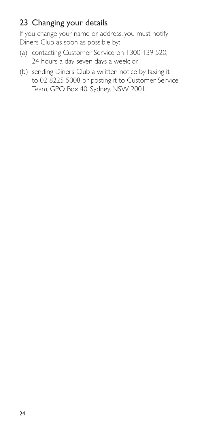### 23 Changing your details

If you change your name or address, you must notify Diners Club as soon as possible by:

- (a) contacting Customer Service on 1300 139 520, 24 hours a day seven days a week; or
- (b) sending Diners Club a written notice by faxing it to 02 8225 5008 or posting it to Customer Service Team, GPO Box 40, Sydney, NSW 2001.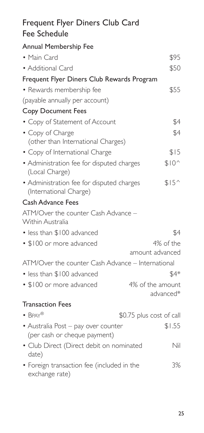### Frequent Flyer Diners Club Card Fee Schedule

| Annual Membership Fee                                               |                               |
|---------------------------------------------------------------------|-------------------------------|
| • Main Card                                                         | \$95                          |
| • Additional Card                                                   | \$50                          |
| Frequent Flyer Diners Club Rewards Program                          |                               |
| • Rewards membership fee                                            | \$55                          |
| (payable annually per account)                                      |                               |
| <b>Copy Document Fees</b>                                           |                               |
| • Copy of Statement of Account                                      | \$4                           |
| • Copy of Charge<br>(other than International Charges)              | \$4                           |
| • Copy of International Charge                                      | \$15                          |
| • Administration fee for disputed charges<br>(Local Charge)         | $$10^{\circ}$                 |
| • Administration fee for disputed charges<br>(International Charge) | $$15^{\circ}$                 |
| <b>Cash Advance Fees</b>                                            |                               |
| ATM/Over the counter Cash Advance -<br>Within Australia             |                               |
| • less than \$100 advanced                                          | \$4                           |
| • \$100 or more advanced                                            | 4% of the<br>amount advanced  |
| ATM/Over the counter Cash Advance - International                   |                               |
| • less than \$100 advanced                                          | $$4*$                         |
| • \$100 or more advanced                                            | 4% of the amount<br>advanced* |
| Transaction Fees                                                    |                               |
| $\bullet$ BPAY®                                                     | \$0.75 plus cost of call      |
| • Australia Post - pay over counter<br>(per cash or cheque payment) | \$1.55                        |
| · Club Direct (Direct debit on nominated<br>date)                   | Nil                           |
| • Foreign transaction fee (included in the<br>exchange rate)        | 3%                            |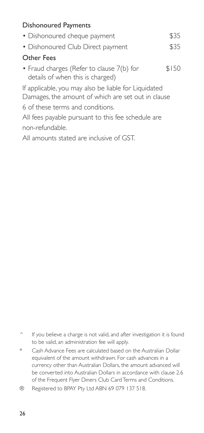#### Dishonoured Payments

| • Dishonoured cheque payment                                                                               | \$35. |  |  |
|------------------------------------------------------------------------------------------------------------|-------|--|--|
| • Dishonoured Club Direct payment                                                                          | \$35  |  |  |
| Other Fees                                                                                                 |       |  |  |
| • Fraud charges (Refer to clause 7(b) for<br>details of when this is charged)                              | \$150 |  |  |
| If applicable, you may also be liable for Liquidated<br>Damages, the amount of which are set out in clause |       |  |  |

6 of these terms and conditions.

All fees payable pursuant to this fee schedule are non-refundable.

All amounts stated are inclusive of GST.

- If you believe a charge is not valid, and after investigation it is found to be valid, an administration fee will apply.
- Cash Advance Fees are calculated based on the Australian Dollar equivalent of the amount withdrawn. For cash advances in a currency other than Australian Dollars, the amount advanced will be converted into Australian Dollars in accordance with clause 2.6 of the Frequent Flyer Diners Club Card Terms and Conditions.
- ® Registered to BPAY Pty Ltd ABN 69 079 137 518.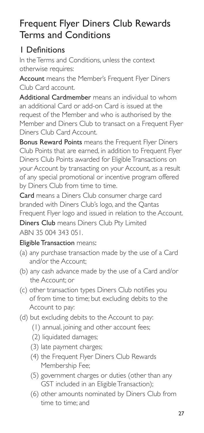## Frequent Flyer Diners Club Rewards Terms and Conditions

## 1 Definitions

In the Terms and Conditions, unless the context otherwise requires:

Account means the Member's Frequent Flyer Diners Club Card account.

Additional Cardmember means an individual to whom an additional Card or add-on Card is issued at the request of the Member and who is authorised by the Member and Diners Club to transact on a Frequent Flyer Diners Club Card Account.

**Bonus Reward Points** means the Frequent Flyer Diners Club Points that are earned, in addition to Frequent Flyer Diners Club Points awarded for Eligible Transactions on your Account by transacting on your Account, as a result of any special promotional or incentive program offered by Diners Club from time to time.

Card means a Diners Club consumer charge card branded with Diners Club's logo, and the Qantas Frequent Flyer logo and issued in relation to the Account.

Diners Club means Diners Club Pty Limited ABN 35 004 343 051.

### Eligible Transaction means:

- (a) any purchase transaction made by the use of a Card and/or the Account;
- (b) any cash advance made by the use of a Card and/or the Account; or
- (c) other transaction types Diners Club notifies you of from time to time; but excluding debits to the Account to pay:
- (d) but excluding debits to the Account to pay:
	- (1) annual, joining and other account fees;
	- (2) liquidated damages;
	- (3) late payment charges;
	- (4) the Frequent Flyer Diners Club Rewards Membership Fee;
	- (5) government charges or duties (other than any GST included in an Eligible Transaction);
	- (6) other amounts nominated by Diners Club from time to time; and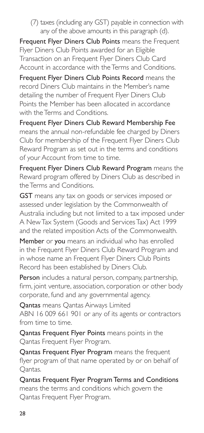(7) taxes (including any GST) payable in connection with any of the above amounts in this paragraph (d).

Frequent Flyer Diners Club Points means the Frequent Flyer Diners Club Points awarded for an Eligible Transaction on an Frequent Flyer Diners Club Card Account in accordance with the Terms and Conditions.

Frequent Flyer Diners Club Points Record means the record Diners Club maintains in the Member's name detailing the number of Frequent Flyer Diners Club Points the Member has been allocated in accordance with the Terms and Conditions.

Frequent Flyer Diners Club Reward Membership Fee means the annual non-refundable fee charged by Diners Club for membership of the Frequent Flyer Diners Club Reward Program as set out in the terms and conditions of your Account from time to time.

Frequent Flyer Diners Club Reward Program means the Reward program offered by Diners Club as described in the Terms and Conditions.

GST means any tax on goods or services imposed or assessed under legislation by the Commonwealth of Australia including but not limited to a tax imposed under A New Tax System (Goods and Services Tax) Act 1999 and the related imposition Acts of the Commonwealth.

Member or you means an individual who has enrolled in the Frequent Flyer Diners Club Reward Program and in whose name an Frequent Flyer Diners Club Points Record has been established by Diners Club.

Person includes a natural person, company, partnership, firm, joint venture, association, corporation or other body corporate, fund and any governmental agency.

Qantas means Qantas Airways Limited ABN 16 009 661 901 or any of its agents or contractors from time to time.

Qantas Frequent Flyer Points means points in the Qantas Frequent Flyer Program.

Qantas Frequent Flyer Program means the frequent flyer program of that name operated by or on behalf of Qantas.

Qantas Frequent Flyer Program Terms and Conditions means the terms and conditions which govern the Qantas Frequent Flyer Program.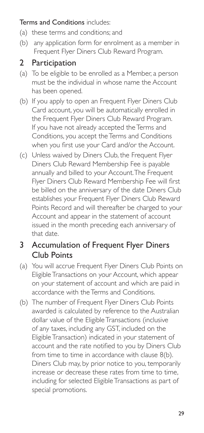#### Terms and Conditions includes:

- (a) these terms and conditions; and
- (b) any application form for enrolment as a member in Frequent Flyer Diners Club Reward Program.

### 2 Participation

- (a) To be eligible to be enrolled as a Member, a person must be the individual in whose name the Account has been opened.
- (b) If you apply to open an Frequent Flyer Diners Club Card account, you will be automatically enrolled in the Frequent Flyer Diners Club Reward Program. If you have not already accepted the Terms and Conditions, you accept the Terms and Conditions when you first use your Card and/or the Account.
- (c) Unless waived by Diners Club, the Frequent Flyer Diners Club Reward Membership Fee is payable annually and billed to your Account. The Frequent Flyer Diners Club Reward Membership Fee will first be billed on the anniversary of the date Diners Club establishes your Frequent Flyer Diners Club Reward Points Record and will thereafter be charged to your Account and appear in the statement of account issued in the month preceding each anniversary of that date.

### 3 Accumulation of Frequent Flyer Diners Club Points

- (a) You will accrue Frequent Flyer Diners Club Points on Eligible Transactions on your Account, which appear on your statement of account and which are paid in accordance with the Terms and Conditions.
- (b) The number of Frequent Flyer Diners Club Points awarded is calculated by reference to the Australian dollar value of the Eligible Transactions (inclusive of any taxes, including any GST, included on the Eligible Transaction) indicated in your statement of account and the rate notified to you by Diners Club from time to time in accordance with clause 8(b). Diners Club may, by prior notice to you, temporarily increase or decrease these rates from time to time, including for selected Eligible Transactions as part of special promotions.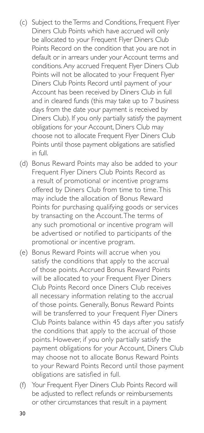- (c) Subject to the Terms and Conditions, Frequent Flyer Diners Club Points which have accrued will only be allocated to your Frequent Flyer Diners Club Points Record on the condition that you are not in default or in arrears under your Account terms and conditions. Any accrued Frequent Flyer Diners Club Points will not be allocated to your Frequent Flyer Diners Club Points Record until payment of your Account has been received by Diners Club in full and in cleared funds (this may take up to 7 business days from the date your payment is received by Diners Club). If you only partially satisfy the payment obligations for your Account, Diners Club may choose not to allocate Frequent Flyer Diners Club Points until those payment obligations are satisfied in full.
- (d) Bonus Reward Points may also be added to your Frequent Flyer Diners Club Points Record as a result of promotional or incentive programs offered by Diners Club from time to time. This may include the allocation of Bonus Reward Points for purchasing qualifying goods or services by transacting on the Account. The terms of any such promotional or incentive program will be advertised or notified to participants of the promotional or incentive program.
- (e) Bonus Reward Points will accrue when you satisfy the conditions that apply to the accrual of those points. Accrued Bonus Reward Points will be allocated to your Frequent Flyer Diners Club Points Record once Diners Club receives all necessary information relating to the accrual of those points. Generally, Bonus Reward Points will be transferred to your Frequent Flyer Diners Club Points balance within 45 days after you satisfy the conditions that apply to the accrual of those points. However, if you only partially satisfy the payment obligations for your Account, Diners Club may choose not to allocate Bonus Reward Points to your Reward Points Record until those payment obligations are satisfied in full.
- (f) Your Frequent Flyer Diners Club Points Record will be adjusted to reflect refunds or reimbursements or other circumstances that result in a payment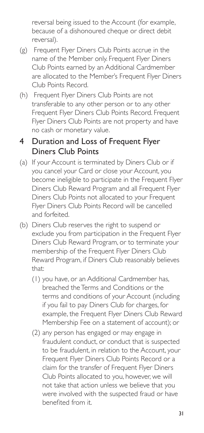reversal being issued to the Account (for example, because of a dishonoured cheque or direct debit reversal).

- (g) Frequent Flyer Diners Club Points accrue in the name of the Member only. Frequent Flyer Diners Club Points earned by an Additional Cardmember are allocated to the Member's Frequent Flyer Diners Club Points Record.
- (h) Frequent Flyer Diners Club Points are not transferable to any other person or to any other Frequent Flyer Diners Club Points Record. Frequent Flyer Diners Club Points are not property and have no cash or monetary value.

### 4 Duration and Loss of Frequent Flyer Diners Club Points

- (a) If your Account is terminated by Diners Club or if you cancel your Card or close your Account, you become ineligible to participate in the Frequent Flyer Diners Club Reward Program and all Frequent Flyer Diners Club Points not allocated to your Frequent Flyer Diners Club Points Record will be cancelled and forfeited.
- (b) Diners Club reserves the right to suspend or exclude you from participation in the Frequent Flyer Diners Club Reward Program, or to terminate your membership of the Frequent Flyer Diners Club Reward Program, if Diners Club reasonably believes that:
	- (1) you have, or an Additional Cardmember has, breached the Terms and Conditions or the terms and conditions of your Account (including if you fail to pay Diners Club for charges, for example, the Frequent Flyer Diners Club Reward Membership Fee on a statement of account); or
	- (2) any person has engaged or may engage in fraudulent conduct, or conduct that is suspected to be fraudulent, in relation to the Account, your Frequent Flyer Diners Club Points Record or a claim for the transfer of Frequent Flyer Diners Club Points allocated to you, however, we will not take that action unless we believe that you were involved with the suspected fraud or have benefited from it.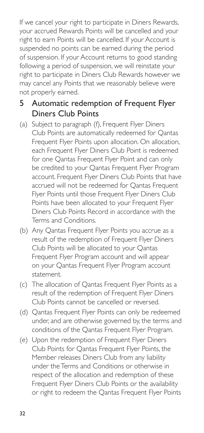If we cancel your right to participate in Diners Rewards, your accrued Rewards Points will be cancelled and your right to earn Points will be cancelled. If your Account is suspended no points can be earned during the period of suspension. If your Account returns to good standing following a period of suspension, we will reinstate your right to participate in Diners Club Rewards however we may cancel any Points that we reasonably believe were not properly earned.

### 5 Automatic redemption of Frequent Flyer Diners Club Points

- (a) Subject to paragraph (f), Frequent Flyer Diners Club Points are automatically redeemed for Qantas Frequent Flyer Points upon allocation. On allocation, each Frequent Flyer Diners Club Point is redeemed for one Qantas Frequent Flyer Point and can only be credited to your Qantas Frequent Flyer Program account. Frequent Flyer Diners Club Points that have accrued will not be redeemed for Qantas Frequent Flyer Points until those Frequent Flyer Diners Club Points have been allocated to your Frequent Flyer Diners Club Points Record in accordance with the Terms and Conditions.
- (b) Any Qantas Frequent Flyer Points you accrue as a result of the redemption of Frequent Flyer Diners Club Points will be allocated to your Qantas Frequent Flyer Program account and will appear on your Qantas Frequent Flyer Program account statement.
- (c) The allocation of Qantas Frequent Flyer Points as a result of the redemption of Frequent Flyer Diners Club Points cannot be cancelled or reversed.
- (d) Qantas Frequent Flyer Points can only be redeemed under, and are otherwise governed by, the terms and conditions of the Qantas Frequent Flyer Program.
- (e) Upon the redemption of Frequent Flyer Diners Club Points for Qantas Frequent Flyer Points, the Member releases Diners Club from any liability under the Terms and Conditions or otherwise in respect of the allocation and redemption of these Frequent Flyer Diners Club Points or the availability or right to redeem the Qantas Frequent Flyer Points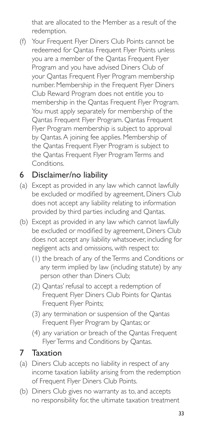that are allocated to the Member as a result of the redemption.

(f) Your Frequent Flyer Diners Club Points cannot be redeemed for Qantas Frequent Flyer Points unless you are a member of the Qantas Frequent Flyer Program and you have advised Diners Club of your Qantas Frequent Flyer Program membership number. Membership in the Frequent Flyer Diners Club Reward Program does not entitle you to membership in the Qantas Frequent Flyer Program. You must apply separately for membership of the Qantas Frequent Flyer Program. Qantas Frequent Flyer Program membership is subject to approval by Qantas. A joining fee applies. Membership of the Qantas Frequent Flyer Program is subject to the Qantas Frequent Flyer Program Terms and Conditions.

### 6 Disclaimer/no liability

- (a) Except as provided in any law which cannot lawfully be excluded or modified by agreement, Diners Club does not accept any liability relating to information provided by third parties including and Qantas.
- (b) Except as provided in any law which cannot lawfully be excluded or modified by agreement, Diners Club does not accept any liability whatsoever, including for negligent acts and omissions, with respect to:
	- (1) the breach of any of the Terms and Conditions or any term implied by law (including statute) by any person other than Diners Club;
	- (2) Qantas' refusal to accept a redemption of Frequent Flyer Diners Club Points for Qantas Frequent Flyer Points;
	- (3) any termination or suspension of the Qantas Frequent Flyer Program by Qantas; or
	- (4) any variation or breach of the Qantas Frequent Flyer Terms and Conditions by Qantas.

### 7 Taxation

- (a) Diners Club accepts no liability in respect of any income taxation liability arising from the redemption of Frequent Flyer Diners Club Points.
- (b) Diners Club gives no warranty as to, and accepts no responsibility for, the ultimate taxation treatment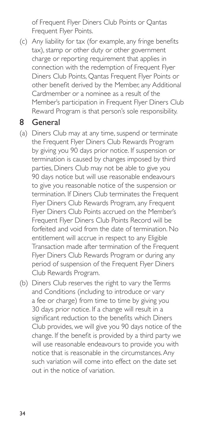of Frequent Flyer Diners Club Points or Qantas Frequent Flyer Points.

(c) Any liability for tax (for example, any fringe benefits tax), stamp or other duty or other government charge or reporting requirement that applies in connection with the redemption of Frequent Flyer Diners Club Points, Qantas Frequent Flyer Points or other benefit derived by the Member, any Additional Cardmember or a nominee as a result of the Member's participation in Frequent Flyer Diners Club Reward Program is that person's sole responsibility.

#### 8 General

- (a) Diners Club may at any time, suspend or terminate the Frequent Flyer Diners Club Rewards Program by giving you 90 days prior notice. If suspension or termination is caused by changes imposed by third parties, Diners Club may not be able to give you 90 days notice but will use reasonable endeavours to give you reasonable notice of the suspension or termination. If Diners Club terminates the Frequent Flyer Diners Club Rewards Program, any Frequent Flyer Diners Club Points accrued on the Member's Frequent Flyer Diners Club Points Record will be forfeited and void from the date of termination. No entitlement will accrue in respect to any Eligible Transaction made after termination of the Frequent Flyer Diners Club Rewards Program or during any period of suspension of the Frequent Flyer Diners Club Rewards Program.
- (b) Diners Club reserves the right to vary the Terms and Conditions (including to introduce or vary a fee or charge) from time to time by giving you 30 days prior notice. If a change will result in a significant reduction to the benefits which Diners Club provides, we will give you 90 days notice of the change. If the benefit is provided by a third party we will use reasonable endeavours to provide you with notice that is reasonable in the circumstances. Any such variation will come into effect on the date set out in the notice of variation.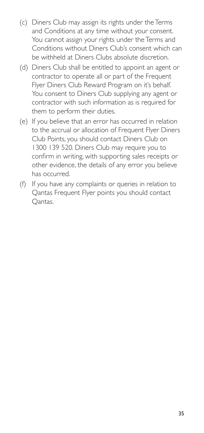- (c) Diners Club may assign its rights under the Terms and Conditions at any time without your consent. You cannot assign your rights under the Terms and Conditions without Diners Club's consent which can be withheld at Diners Clubs absolute discretion.
- (d) Diners Club shall be entitled to appoint an agent or contractor to operate all or part of the Frequent Flyer Diners Club Reward Program on it's behalf. You consent to Diners Club supplying any agent or contractor with such information as is required for them to perform their duties.
- (e) If you believe that an error has occurred in relation to the accrual or allocation of Frequent Flyer Diners Club Points, you should contact Diners Club on 1300 139 520. Diners Club may require you to confirm in writing, with supporting sales receipts or other evidence, the details of any error you believe has occurred.
- (f) If you have any complaints or queries in relation to Qantas Frequent Flyer points you should contact Qantas.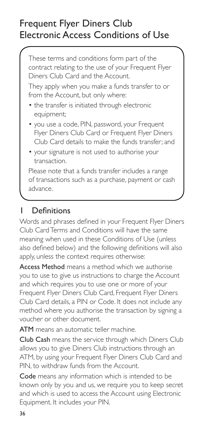## Frequent Flyer Diners Club Electronic Access Conditions of Use

These terms and conditions form part of the contract relating to the use of your Frequent Flyer Diners Club Card and the Account.

They apply when you make a funds transfer to or from the Account, but only where:

- the transfer is initiated through electronic equipment;
- you use a code, PIN, password, your Frequent Flyer Diners Club Card or Frequent Flyer Diners Club Card details to make the funds transfer; and
- your signature is not used to authorise your transaction.

Please note that a funds transfer includes a range of transactions such as a purchase, payment or cash advance.

## 1 Definitions

Words and phrases defined in your Frequent Flyer Diners Club Card Terms and Conditions will have the same meaning when used in these Conditions of Use (unless also defined below) and the following definitions will also apply, unless the context requires otherwise:

Access Method means a method which we authorise you to use to give us instructions to charge the Account and which requires you to use one or more of your Frequent Flyer Diners Club Card, Frequent Flyer Diners Club Card details, a PIN or Code. It does not include any method where you authorise the transaction by signing a voucher or other document.

ATM means an automatic teller machine.

Club Cash means the service through which Diners Club allows you to give Diners Club instructions through an ATM, by using your Frequent Flyer Diners Club Card and PIN, to withdraw funds from the Account.

Code means any information which is intended to be known only by you and us, we require you to keep secret and which is used to access the Account using Electronic Equipment. It includes your PIN.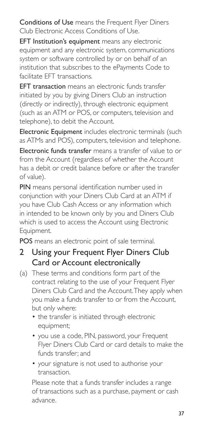Conditions of Use means the Frequent Flyer Diners Club Electronic Access Conditions of Use.

**EFT Institution's equipment** means any electronic equipment and any electronic system, communications system or software controlled by or on behalf of an institution that subscribes to the ePayments Code to facilitate EFT transactions.

EFT transaction means an electronic funds transfer initiated by you by giving Diners Club an instruction (directly or indirectly), through electronic equipment (such as an ATM or POS, or computers, television and telephone), to debit the Account.

Electronic Equipment includes electronic terminals (such as ATMs and POS), computers, television and telephone.

Electronic funds transfer means a transfer of value to or from the Account (regardless of whether the Account has a debit or credit balance before or after the transfer of value).

PIN means personal identification number used in conjunction with your Diners Club Card at an ATM if you have Club Cash Access or any information which in intended to be known only by you and Diners Club which is used to access the Account using Electronic Equipment.

POS means an electronic point of sale terminal.

### 2 Using your Frequent Flyer Diners Club Card or Account electronically

- (a) These terms and conditions form part of the contract relating to the use of your Frequent Flyer Diners Club Card and the Account. They apply when you make a funds transfer to or from the Account, but only where:
	- the transfer is initiated through electronic equipment;
	- you use a code, PIN, password, your Frequent Flyer Diners Club Card or card details to make the funds transfer; and
	- your signature is not used to authorise your transaction.

Please note that a funds transfer includes a range of transactions such as a purchase, payment or cash advance.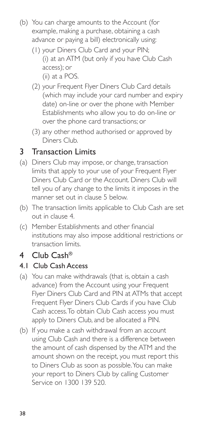- (b) You can charge amounts to the Account (for example, making a purchase, obtaining a cash advance or paying a bill) electronically using:
	- (1) your Diners Club Card and your PIN; (i) at an ATM (but only if you have Club Cash access); or (ii) at a POS.
	- (2) your Frequent Flyer Diners Club Card details (which may include your card number and expiry date) on-line or over the phone with Member Establishments who allow you to do on-line or over the phone card transactions; or
	- (3) any other method authorised or approved by Diners Club.

### 3 Transaction Limits

- (a) Diners Club may impose, or change, transaction limits that apply to your use of your Frequent Flyer Diners Club Card or the Account. Diners Club will tell you of any change to the limits it imposes in the manner set out in clause 5 below.
- (b) The transaction limits applicable to Club Cash are set out in clause 4.
- (c) Member Establishments and other financial institutions may also impose additional restrictions or transaction limits.

### 4 Club Cash®

### 4.1 Club Cash Access

- (a) You can make withdrawals (that is, obtain a cash advance) from the Account using your Frequent Flyer Diners Club Card and PIN at ATMs that accept Frequent Flyer Diners Club Cards if you have Club Cash access. To obtain Club Cash access you must apply to Diners Club, and be allocated a PIN.
- (b) If you make a cash withdrawal from an account using Club Cash and there is a difference between the amount of cash dispensed by the ATM and the amount shown on the receipt, you must report this to Diners Club as soon as possible. You can make your report to Diners Club by calling Customer Service on 1300 139 520.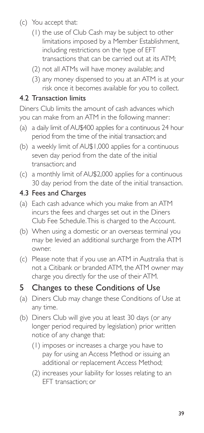- (c) You accept that:
	- (1) the use of Club Cash may be subject to other limitations imposed by a Member Establishment, including restrictions on the type of EFT transactions that can be carried out at its ATM;
	- (2) not all ATMs will have money available; and
	- (3) any money dispensed to you at an ATM is at your risk once it becomes available for you to collect.

#### 4.2 Transaction limits

Diners Club limits the amount of cash advances which you can make from an ATM in the following manner:

- (a) a daily limit of AU\$400 applies for a continuous 24 hour period from the time of the initial transaction; and
- (b) a weekly limit of AU\$1,000 applies for a continuous seven day period from the date of the initial transaction; and
- (c) a monthly limit of AU\$2,000 applies for a continuous 30 day period from the date of the initial transaction.

#### 4.3 Fees and Charges

- (a) Each cash advance which you make from an ATM incurs the fees and charges set out in the Diners Club Fee Schedule. This is charged to the Account.
- (b) When using a domestic or an overseas terminal you may be levied an additional surcharge from the ATM owner.
- (c) Please note that if you use an ATM in Australia that is not a Citibank or branded ATM, the ATM owner may charge you directly for the use of their ATM.

### 5 Changes to these Conditions of Use

- (a) Diners Club may change these Conditions of Use at any time.
- (b) Diners Club will give you at least 30 days (or any longer period required by legislation) prior written notice of any change that:
	- (1) imposes or increases a charge you have to pay for using an Access Method or issuing an additional or replacement Access Method;
	- (2) increases your liability for losses relating to an EFT transaction; or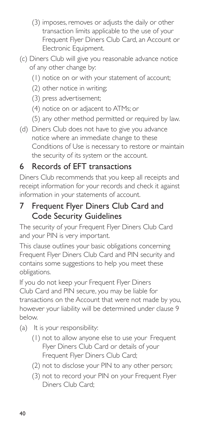- (3) imposes, removes or adjusts the daily or other transaction limits applicable to the use of your Frequent Flyer Diners Club Card, an Account or Electronic Equipment.
- (c) Diners Club will give you reasonable advance notice of any other change by:
	- (1) notice on or with your statement of account;
	- (2) other notice in writing;
	- (3) press advertisement;
	- (4) notice on or adjacent to ATMs; or
	- (5) any other method permitted or required by law.
- (d) Diners Club does not have to give you advance notice where an immediate change to these Conditions of Use is necessary to restore or maintain the security of its system or the account.

### 6 Records of EFT transactions

Diners Club recommends that you keep all receipts and receipt information for your records and check it against information in your statements of account.

### 7 Frequent Flyer Diners Club Card and Code Security Guidelines

The security of your Frequent Flyer Diners Club Card and your PIN is very important.

This clause outlines your basic obligations concerning Frequent Flyer Diners Club Card and PIN security and contains some suggestions to help you meet these obligations.

If you do not keep your Frequent Flyer Diners Club Card and PIN secure, you may be liable for transactions on the Account that were not made by you, however your liability will be determined under clause 9 below.

- (a) It is your responsibility:
	- (1) not to allow anyone else to use your Frequent Flyer Diners Club Card or details of your Frequent Flyer Diners Club Card;
	- (2) not to disclose your PIN to any other person;
	- (3) not to record your PIN on your Frequent Flyer Diners Club Card;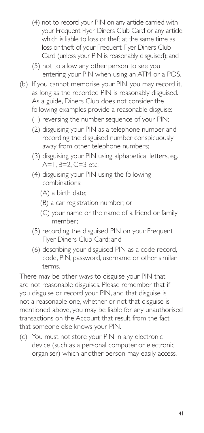- (4) not to record your PIN on any article carried with your Frequent Flyer Diners Club Card or any article which is liable to loss or theft at the same time as loss or theft of your Frequent Flyer Diners Club Card (unless your PIN is reasonably disguised); and
- (5) not to allow any other person to see you entering your PIN when using an ATM or a POS.
- (b) If you cannot memorise your PIN, you may record it, as long as the recorded PIN is reasonably disguised. As a guide, Diners Club does not consider the following examples provide a reasonable disguise:
	- (1) reversing the number sequence of your PIN;
	- (2) disguising your PIN as a telephone number and recording the disguised number conspicuously away from other telephone numbers;
	- (3) disguising your PIN using alphabetical letters, eg.  $A=1, B=2, C=3$  etc;
	- (4) disguising your PIN using the following combinations:
		- (A) a birth date;
		- (B) a car registration number; or
		- (C) your name or the name of a friend or family member;
	- (5) recording the disguised PIN on your Frequent Flyer Diners Club Card; and
	- (6) describing your disguised PIN as a code record, code, PIN, password, username or other similar terms.

There may be other ways to disguise your PIN that are not reasonable disguises. Please remember that if you disguise or record your PIN, and that disguise is not a reasonable one, whether or not that disguise is mentioned above, you may be liable for any unauthorised transactions on the Account that result from the fact that someone else knows your PIN.

(c) You must not store your PIN in any electronic device (such as a personal computer or electronic organiser) which another person may easily access.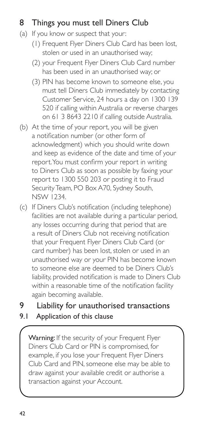### 8 Things you must tell Diners Club

- (a) If you know or suspect that your:
	- (1) Frequent Flyer Diners Club Card has been lost, stolen or used in an unauthorised way;
	- (2) your Frequent Flyer Diners Club Card number has been used in an unauthorised way; or
	- (3) PIN has become known to someone else, you must tell Diners Club immediately by contacting Customer Service, 24 hours a day on 1300 139 520 if calling within Australia or reverse charges on 61 3 8643 2210 if calling outside Australia.
- (b) At the time of your report, you will be given a notification number (or other form of acknowledgment) which you should write down and keep as evidence of the date and time of your report. You must confirm your report in writing to Diners Club as soon as possible by faxing your report to 1300 550 203 or posting it to Fraud Security Team, PO Box A70, Sydney South, NSW 1234.
- (c) If Diners Club's notification (including telephone) facilities are not available during a particular period, any losses occurring during that period that are a result of Diners Club not receiving notification that your Frequent Flyer Diners Club Card (or card number) has been lost, stolen or used in an unauthorised way or your PIN has become known to someone else are deemed to be Diners Club's liability, provided notification is made to Diners Club within a reasonable time of the notification facility again becoming available.

### 9 Liability for unauthorised transactions

9.1 Application of this clause

Warning: If the security of your Frequent Flyer Diners Club Card or PIN is compromised, for example, if you lose your Frequent Flyer Diners Club Card and PIN, someone else may be able to draw against your available credit or authorise a transaction against your Account.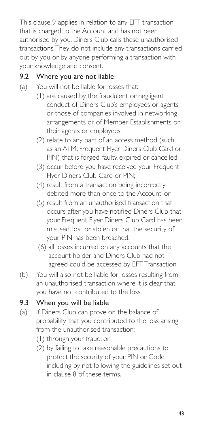This clause 9 applies in relation to any EFT transaction that is charged to the Account and has not been authorised by you. Diners Club calls these unauthorised transactions. They do not include any transactions carried out by you or by anyone performing a transaction with your knowledge and consent.

#### 9.2 Where you are not liable

- (a) You will not be liable for losses that:
	- (1) are caused by the fraudulent or negligent conduct of Diners Club's employees or agents or those of companies involved in networking arrangements or of Member Establishments or their agents or employees;
		- (2) relate to any part of an access method (such as an ATM, Frequent Flyer Diners Club Card or PIN) that is forged, faulty, expired or cancelled;
		- (3) occur before you have received your Frequent Flyer Diners Club Card or PIN;
		- (4) result from a transaction being incorrectly debited more than once to the Account; or
		- (5) result from an unauthorised transaction that occurs after you have notified Diners Club that your Frequent Flyer Diners Club Card has been misused, lost or stolen or that the security of your PIN has been breached.
		- (6) all losses incurred on any accounts that the account holder and Diners Club had not agreed could be accessed by EFT Transaction.
- (b) You will also not be liable for losses resulting from an unauthorised transaction where it is clear that you have not contributed to the loss.

#### 9.3 When you will be liable

- (a) If Diners Club can prove on the balance of probability that you contributed to the loss arising from the unauthorised transaction:
	- (1) through your fraud; or
	- (2) by failing to take reasonable precautions to protect the security of your PIN or Code including by not following the guidelines set out in clause 8 of these terms.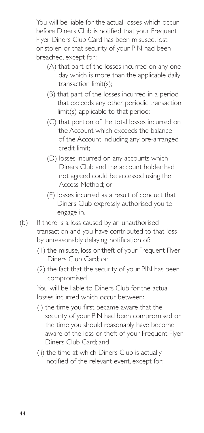You will be liable for the actual losses which occur before Diners Club is notified that your Frequent Flyer Diners Club Card has been misused, lost or stolen or that security of your PIN had been breached, except for:

- (A) that part of the losses incurred on any one day which is more than the applicable daily transaction limit(s);
- (B) that part of the losses incurred in a period that exceeds any other periodic transaction limit(s) applicable to that period;
- (C) that portion of the total losses incurred on the Account which exceeds the balance of the Account including any pre-arranged credit limit;
- (D) losses incurred on any accounts which Diners Club and the account holder had not agreed could be accessed using the Access Method; or
- (E) losses incurred as a result of conduct that Diners Club expressly authorised you to engage in.
- (b) If there is a loss caused by an unauthorised transaction and you have contributed to that loss by unreasonably delaying notification of:
	- (1) the misuse, loss or theft of your Frequent Flyer Diners Club Card; or
	- (2) the fact that the security of your PIN has been compromised

You will be liable to Diners Club for the actual losses incurred which occur between:

- (i) the time you first became aware that the security of your PIN had been compromised or the time you should reasonably have become aware of the loss or theft of your Frequent Flyer Diners Club Card; and
- (ii) the time at which Diners Club is actually notified of the relevant event, except for: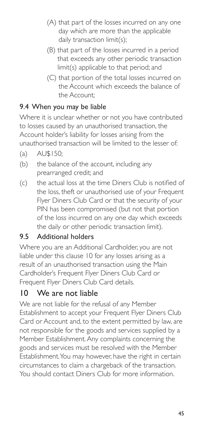- (A) that part of the losses incurred on any one day which are more than the applicable daily transaction limit(s);
- (B) that part of the losses incurred in a period that exceeds any other periodic transaction limit(s) applicable to that period; and
- (C) that portion of the total losses incurred on the Account which exceeds the balance of the Account;

### 9.4 When you may be liable

Where it is unclear whether or not you have contributed to losses caused by an unauthorised transaction, the Account holder's liability for losses arising from the unauthorised transaction will be limited to the lesser of:

- (a) AU\$150;
- (b) the balance of the account, including any prearranged credit; and
- (c) the actual loss at the time Diners Club is notified of the loss, theft or unauthorised use of your Frequent Flyer Diners Club Card or that the security of your PIN has been compromised (but not that portion of the loss incurred on any one day which exceeds the daily or other periodic transaction limit).

### 9.5 Additional holders

Where you are an Additional Cardholder, you are not liable under this clause 10 for any losses arising as a result of an unauthorised transaction using the Main Cardholder's Frequent Flyer Diners Club Card or Frequent Flyer Diners Club Card details.

### 10 We are not liable

We are not liable for the refusal of any Member Establishment to accept your Frequent Flyer Diners Club Card or Account and, to the extent permitted by law, are not responsible for the goods and services supplied by a Member Establishment. Any complaints concerning the goods and services must be resolved with the Member Establishment. You may however, have the right in certain circumstances to claim a chargeback of the transaction. You should contact Diners Club for more information.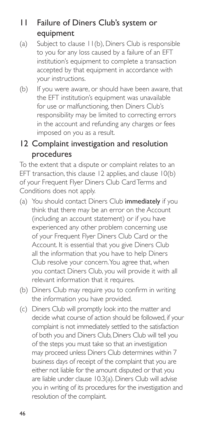### 11 Failure of Diners Club's system or equipment

- (a) Subject to clause 11(b), Diners Club is responsible to you for any loss caused by a failure of an EFT institution's equipment to complete a transaction accepted by that equipment in accordance with your instructions.
- (b) If you were aware, or should have been aware, that the EFT institution's equipment was unavailable for use or malfunctioning, then Diners Club's responsibility may be limited to correcting errors in the account and refunding any charges or fees imposed on you as a result.

### 12 Complaint investigation and resolution procedures

To the extent that a dispute or complaint relates to an EFT transaction, this clause 12 applies, and clause 10(b) of your Frequent Flyer Diners Club Card Terms and Conditions does not apply.

- (a) You should contact Diners Club immediately if you think that there may be an error on the Account (including an account statement) or if you have experienced any other problem concerning use of your Frequent Flyer Diners Club Card or the Account. It is essential that you give Diners Club all the information that you have to help Diners Club resolve your concern. You agree that, when you contact Diners Club, you will provide it with all relevant information that it requires.
- (b) Diners Club may require you to confirm in writing the information you have provided.
- (c) Diners Club will promptly look into the matter and decide what course of action should be followed, if your complaint is not immediately settled to the satisfaction of both you and Diners Club, Diners Club will tell you of the steps you must take so that an investigation may proceed unless Diners Club determines within 7 business days of receipt of the complaint that you are either not liable for the amount disputed or that you are liable under clause 10.3(a). Diners Club will advise you in writing of its procedures for the investigation and resolution of the complaint.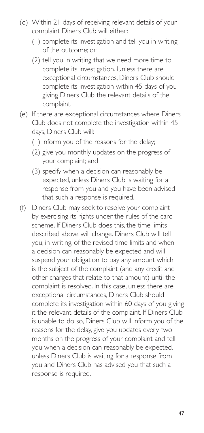- (d) Within 21 days of receiving relevant details of your complaint Diners Club will either:
	- (1) complete its investigation and tell you in writing of the outcome; or
	- (2) tell you in writing that we need more time to complete its investigation. Unless there are exceptional circumstances, Diners Club should complete its investigation within 45 days of you giving Diners Club the relevant details of the complaint.
- (e) If there are exceptional circumstances where Diners Club does not complete the investigation within 45 days, Diners Club will:
	- (1) inform you of the reasons for the delay;
	- (2) give you monthly updates on the progress of your complaint; and
	- (3) specify when a decision can reasonably be expected, unless Diners Club is waiting for a response from you and you have been advised that such a response is required.
- (f) Diners Club may seek to resolve your complaint by exercising its rights under the rules of the card scheme. If Diners Club does this, the time limits described above will change. Diners Club will tell you, in writing, of the revised time limits and when a decision can reasonably be expected and will suspend your obligation to pay any amount which is the subject of the complaint (and any credit and other charges that relate to that amount) until the complaint is resolved. In this case, unless there are exceptional circumstances, Diners Club should complete its investigation within 60 days of you giving it the relevant details of the complaint. If Diners Club is unable to do so, Diners Club will inform you of the reasons for the delay, give you updates every two months on the progress of your complaint and tell you when a decision can reasonably be expected, unless Diners Club is waiting for a response from you and Diners Club has advised you that such a response is required.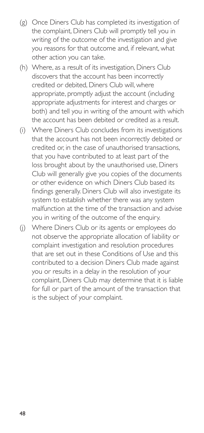- (g) Once Diners Club has completed its investigation of the complaint, Diners Club will promptly tell you in writing of the outcome of the investigation and give you reasons for that outcome and, if relevant, what other action you can take.
- (h) Where, as a result of its investigation, Diners Club discovers that the account has been incorrectly credited or debited, Diners Club will, where appropriate, promptly adjust the account (including appropriate adjustments for interest and charges or both) and tell you in writing of the amount with which the account has been debited or credited as a result.
- (i) Where Diners Club concludes from its investigations that the account has not been incorrectly debited or credited or, in the case of unauthorised transactions, that you have contributed to at least part of the loss brought about by the unauthorised use, Diners Club will generally give you copies of the documents or other evidence on which Diners Club based its findings generally. Diners Club will also investigate its system to establish whether there was any system malfunction at the time of the transaction and advise you in writing of the outcome of the enquiry.
- (j) Where Diners Club or its agents or employees do not observe the appropriate allocation of liability or complaint investigation and resolution procedures that are set out in these Conditions of Use and this contributed to a decision Diners Club made against you or results in a delay in the resolution of your complaint, Diners Club may determine that it is liable for full or part of the amount of the transaction that is the subject of your complaint.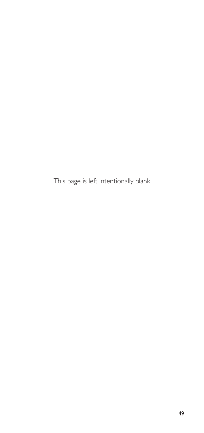This page is left intentionally blank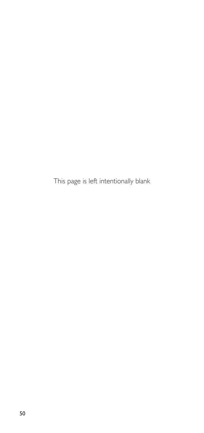This page is left intentionally blank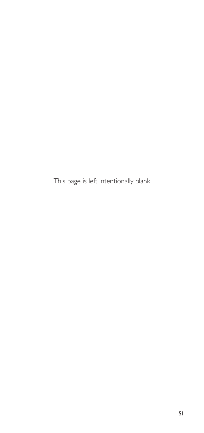This page is left intentionally blank